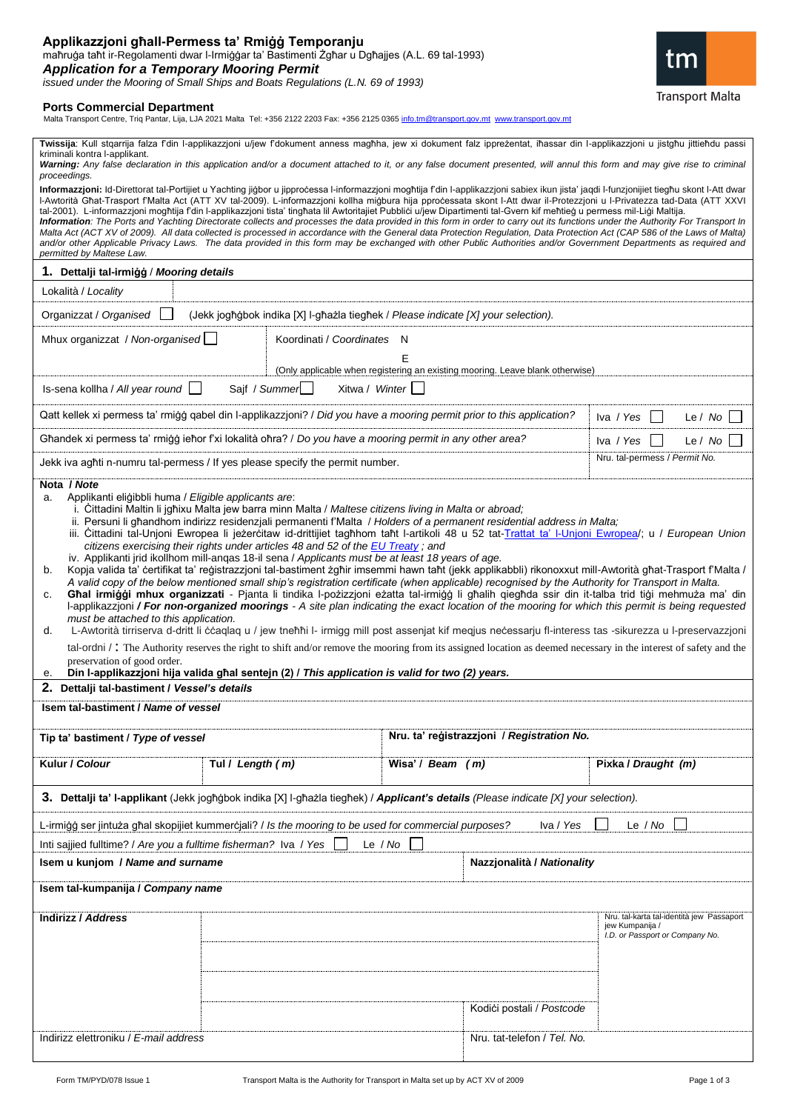| Applikazzjoni ghall-Permess ta' Rmigg Temporanju                                               |
|------------------------------------------------------------------------------------------------|
| mahruga taht ir-Regolamenti dwar I-Irmiggar ta' Bastimenti Zghar u Dghajjes (A.L. 69 tal-1993) |
| <b>Application for a Temporary Mooring Permit</b>                                              |
| issued under the Mooring of Small Ships and Boats Regulations (L.N. 69 of 1993)                |

## **Ports Commercial Department**

Malta Transport Centre, Triq Pantar, Lija, LJA 2021 Malta Tel: +356 2122 2203 Fax: +356 2125 0365 [info.tm@transport.gov.mt](mailto:info.tm@transport.gov.mt) [www.transport.gov.mt](file:///G:/Local%20Settings/Temporary%20Internet%20Files/MT%20forms/www.transport.gov.mt)

**Twissija**: Kull stqarrija falza f'din l-applikazzjoni u/jew f'dokument anness magħha, jew xi dokument falz ippreżentat, iħassar din l-applikazzjoni u jistgħu jittieħdu passi kriminali kontra l-applikant.

Warning: Any false declaration in this application and/or a document attached to it, or any false document presented, will annul this form and may give rise to criminal *proceedings.* 

**Informazzjoni:** Id-Direttorat tal-Portijiet u Yachting jiġbor u jipproċessa l-informazzjoni mogħtija f'din l-applikazzjoni sabiex ikun jista' jaqdi l-funzjonijiet tiegħu skont l-Att dwar l-Awtorità Għat-Trasport f'Malta Act (ATT XV tal-2009). L-informazzjoni kollha miġbura hija pproċessata skont l-Att dwar il-Protezzjoni u l-Privatezza tad-Data (ATT XXVI tal-2001). L-informazzjoni mogħtija f'din l-applikazzjoni tista' tingħata lil Awtoritajiet Pubbliċi u/jew Dipartimenti tal-Gvern kif meħtieġ u permess mil-Liġi Maltija. *Information: The Ports and Yachting Directorate collects and processes the data provided in this form in order to carry out its functions under the Authority For Transport In Malta Act (ACT XV of 2009). All data collected is processed in accordance with the General data Protection Regulation, Data Protection Act (CAP 586 of the Laws of Malta) and/or other Applicable Privacy Laws. The data provided in this form may be exchanged with other Public Authorities and/or Government Departments as required and permitted by Maltese Law.*

| 1. Dettalji tal-irmiģģ / Mooring details                                                                                                                                                                                                                                                                                                                                                                                                                                                                                                                                                                                                                                                                                                                                                                                                                                                                                                                                                                                                                                                                                                                                                                                                                                                                                                                                                                                                                                                                                                                                                                                                                                                                                                                                                                               |                                                                               |                                 |                                                                               |                                                                                                 |  |  |
|------------------------------------------------------------------------------------------------------------------------------------------------------------------------------------------------------------------------------------------------------------------------------------------------------------------------------------------------------------------------------------------------------------------------------------------------------------------------------------------------------------------------------------------------------------------------------------------------------------------------------------------------------------------------------------------------------------------------------------------------------------------------------------------------------------------------------------------------------------------------------------------------------------------------------------------------------------------------------------------------------------------------------------------------------------------------------------------------------------------------------------------------------------------------------------------------------------------------------------------------------------------------------------------------------------------------------------------------------------------------------------------------------------------------------------------------------------------------------------------------------------------------------------------------------------------------------------------------------------------------------------------------------------------------------------------------------------------------------------------------------------------------------------------------------------------------|-------------------------------------------------------------------------------|---------------------------------|-------------------------------------------------------------------------------|-------------------------------------------------------------------------------------------------|--|--|
| Lokalità / Locality                                                                                                                                                                                                                                                                                                                                                                                                                                                                                                                                                                                                                                                                                                                                                                                                                                                                                                                                                                                                                                                                                                                                                                                                                                                                                                                                                                                                                                                                                                                                                                                                                                                                                                                                                                                                    |                                                                               |                                 |                                                                               |                                                                                                 |  |  |
| Organizzat / Organised<br>(Jekk jogħġbok indika [X] I-għażla tiegħek / Please indicate [X] your selection).                                                                                                                                                                                                                                                                                                                                                                                                                                                                                                                                                                                                                                                                                                                                                                                                                                                                                                                                                                                                                                                                                                                                                                                                                                                                                                                                                                                                                                                                                                                                                                                                                                                                                                            |                                                                               |                                 |                                                                               |                                                                                                 |  |  |
| Mhux organizzat / Non-organised                                                                                                                                                                                                                                                                                                                                                                                                                                                                                                                                                                                                                                                                                                                                                                                                                                                                                                                                                                                                                                                                                                                                                                                                                                                                                                                                                                                                                                                                                                                                                                                                                                                                                                                                                                                        |                                                                               | Koordinati / Coordinates<br>- N |                                                                               |                                                                                                 |  |  |
|                                                                                                                                                                                                                                                                                                                                                                                                                                                                                                                                                                                                                                                                                                                                                                                                                                                                                                                                                                                                                                                                                                                                                                                                                                                                                                                                                                                                                                                                                                                                                                                                                                                                                                                                                                                                                        |                                                                               | Е                               | (Only applicable when registering an existing mooring. Leave blank otherwise) |                                                                                                 |  |  |
| Is-sena kollha / All year round                                                                                                                                                                                                                                                                                                                                                                                                                                                                                                                                                                                                                                                                                                                                                                                                                                                                                                                                                                                                                                                                                                                                                                                                                                                                                                                                                                                                                                                                                                                                                                                                                                                                                                                                                                                        | Sajf / Summer<br>Xitwa / Winter                                               |                                 |                                                                               |                                                                                                 |  |  |
| Qatt kellek xi permess ta' rmiġġ qabel din l-applikazzjoni? / Did you have a mooring permit prior to this application?<br>Le / $No$<br>Iva / Yes                                                                                                                                                                                                                                                                                                                                                                                                                                                                                                                                                                                                                                                                                                                                                                                                                                                                                                                                                                                                                                                                                                                                                                                                                                                                                                                                                                                                                                                                                                                                                                                                                                                                       |                                                                               |                                 |                                                                               |                                                                                                 |  |  |
| Ghandek xi permess ta' rmiġġ ieħor f'xi lokalità oħra? / Do you have a mooring permit in any other area?                                                                                                                                                                                                                                                                                                                                                                                                                                                                                                                                                                                                                                                                                                                                                                                                                                                                                                                                                                                                                                                                                                                                                                                                                                                                                                                                                                                                                                                                                                                                                                                                                                                                                                               |                                                                               |                                 | Le / No<br>Iva / Yes                                                          |                                                                                                 |  |  |
|                                                                                                                                                                                                                                                                                                                                                                                                                                                                                                                                                                                                                                                                                                                                                                                                                                                                                                                                                                                                                                                                                                                                                                                                                                                                                                                                                                                                                                                                                                                                                                                                                                                                                                                                                                                                                        | Jekk iva aghti n-numru tal-permess / If yes please specify the permit number. |                                 |                                                                               | Nru. tal-permess / Permit No.                                                                   |  |  |
| Nota / Note<br>Applikanti eligibbli huma / Eligible applicants are:<br>a.<br>i. Cittadini Maltin li jgħixu Malta jew barra minn Malta / Maltese citizens living in Malta or abroad;<br>ii. Persuni li ghandhom indirizz residenzjali permanenti f'Malta / Holders of a permanent residential address in Malta;<br>iii. Cittadini tal-Unjoni Ewropea li jezercitaw id-drittijiet tagħhom taħt l-artikoli 48 u 52 tat-Trattat ta' l-Unjoni Ewropea/; u / European Union<br>citizens exercising their rights under articles 48 and 52 of the EU Treaty; and<br>iv. Applikanti jrid ikollhom mill-anqas 18-il sena / Applicants must be at least 18 years of age.<br>Kopja valida ta' certifikat ta' reģistrazzjoni tal-bastiment zgħir imsemmi hawn taħt (jekk applikabbli) rikonoxxut mill-Awtorità għat-Trasport f'Malta /<br>b.<br>A valid copy of the below mentioned small ship's registration certificate (when applicable) recognised by the Authority for Transport in Malta.<br>Ghal irmiģģi mhux organizzati - Pjanta li tindika I-pozizzjoni ezatta tal-irmiģģ li ghalih qieghda ssir din it-talba trid tiģi mehmuza ma' din<br>C.<br>I-applikazzjoni / For non-organized moorings - A site plan indicating the exact location of the mooring for which this permit is being requested<br>must be attached to this application.<br>L-Awtorità tirriserva d-dritt li ccaqlaq u / jew tneñni l- irmigg mill post assenjat kif meqjus necessarju fl-interess tas -sikurezza u l-preservazzjoni<br>d.<br>tal-ordni /: The Authority reserves the right to shift and/or remove the mooring from its assigned location as deemed necessary in the interest of safety and the<br>preservation of good order.<br>Din l-applikazzjoni hija valida ghal sentejn (2) / This application is valid for two (2) years.<br>е. |                                                                               |                                 |                                                                               |                                                                                                 |  |  |
| 2. Dettalji tal-bastiment / Vessel's details                                                                                                                                                                                                                                                                                                                                                                                                                                                                                                                                                                                                                                                                                                                                                                                                                                                                                                                                                                                                                                                                                                                                                                                                                                                                                                                                                                                                                                                                                                                                                                                                                                                                                                                                                                           |                                                                               |                                 |                                                                               |                                                                                                 |  |  |
| Isem tal-bastiment / Name of vessel                                                                                                                                                                                                                                                                                                                                                                                                                                                                                                                                                                                                                                                                                                                                                                                                                                                                                                                                                                                                                                                                                                                                                                                                                                                                                                                                                                                                                                                                                                                                                                                                                                                                                                                                                                                    |                                                                               |                                 |                                                                               |                                                                                                 |  |  |
| Nru. ta' reģistrazzjoni / Registration No.<br>Tip ta' bastiment / Type of vessel                                                                                                                                                                                                                                                                                                                                                                                                                                                                                                                                                                                                                                                                                                                                                                                                                                                                                                                                                                                                                                                                                                                                                                                                                                                                                                                                                                                                                                                                                                                                                                                                                                                                                                                                       |                                                                               |                                 |                                                                               |                                                                                                 |  |  |
| Kulur / Colour                                                                                                                                                                                                                                                                                                                                                                                                                                                                                                                                                                                                                                                                                                                                                                                                                                                                                                                                                                                                                                                                                                                                                                                                                                                                                                                                                                                                                                                                                                                                                                                                                                                                                                                                                                                                         | Tul / Length (m)                                                              | Wisa' / Beam (m)                |                                                                               | Pixka / Draught (m)                                                                             |  |  |
| 3. Dettalji ta' I-applikant (Jekk jogħġbok indika [X] I-għażla tiegħek) / Applicant's details (Please indicate [X] your selection).                                                                                                                                                                                                                                                                                                                                                                                                                                                                                                                                                                                                                                                                                                                                                                                                                                                                                                                                                                                                                                                                                                                                                                                                                                                                                                                                                                                                                                                                                                                                                                                                                                                                                    |                                                                               |                                 |                                                                               |                                                                                                 |  |  |
| Le $/$ No<br>L-irmiģģ ser jintuża għal skopijiet kummercjali? / Is the mooring to be used for commercial purposes?<br>Iva / Yes                                                                                                                                                                                                                                                                                                                                                                                                                                                                                                                                                                                                                                                                                                                                                                                                                                                                                                                                                                                                                                                                                                                                                                                                                                                                                                                                                                                                                                                                                                                                                                                                                                                                                        |                                                                               |                                 |                                                                               |                                                                                                 |  |  |
| Inti sajjied fulltime? / Are you a fulltime fisherman? Iva / Yes<br>Le $/$ No                                                                                                                                                                                                                                                                                                                                                                                                                                                                                                                                                                                                                                                                                                                                                                                                                                                                                                                                                                                                                                                                                                                                                                                                                                                                                                                                                                                                                                                                                                                                                                                                                                                                                                                                          |                                                                               |                                 |                                                                               |                                                                                                 |  |  |
| Isem u kunjom / Name and surname                                                                                                                                                                                                                                                                                                                                                                                                                                                                                                                                                                                                                                                                                                                                                                                                                                                                                                                                                                                                                                                                                                                                                                                                                                                                                                                                                                                                                                                                                                                                                                                                                                                                                                                                                                                       |                                                                               |                                 | Nazzjonalità / Nationality                                                    |                                                                                                 |  |  |
| Isem tal-kumpanija / Company name                                                                                                                                                                                                                                                                                                                                                                                                                                                                                                                                                                                                                                                                                                                                                                                                                                                                                                                                                                                                                                                                                                                                                                                                                                                                                                                                                                                                                                                                                                                                                                                                                                                                                                                                                                                      |                                                                               |                                 |                                                                               |                                                                                                 |  |  |
| <b>Indirizz / Address</b>                                                                                                                                                                                                                                                                                                                                                                                                                                                                                                                                                                                                                                                                                                                                                                                                                                                                                                                                                                                                                                                                                                                                                                                                                                                                                                                                                                                                                                                                                                                                                                                                                                                                                                                                                                                              |                                                                               |                                 |                                                                               | Nru. tal-karta tal-identità jew Passaport<br>jew Kumpanija /<br>I.D. or Passport or Company No. |  |  |
|                                                                                                                                                                                                                                                                                                                                                                                                                                                                                                                                                                                                                                                                                                                                                                                                                                                                                                                                                                                                                                                                                                                                                                                                                                                                                                                                                                                                                                                                                                                                                                                                                                                                                                                                                                                                                        |                                                                               |                                 | Kodići postali / Postcode                                                     |                                                                                                 |  |  |

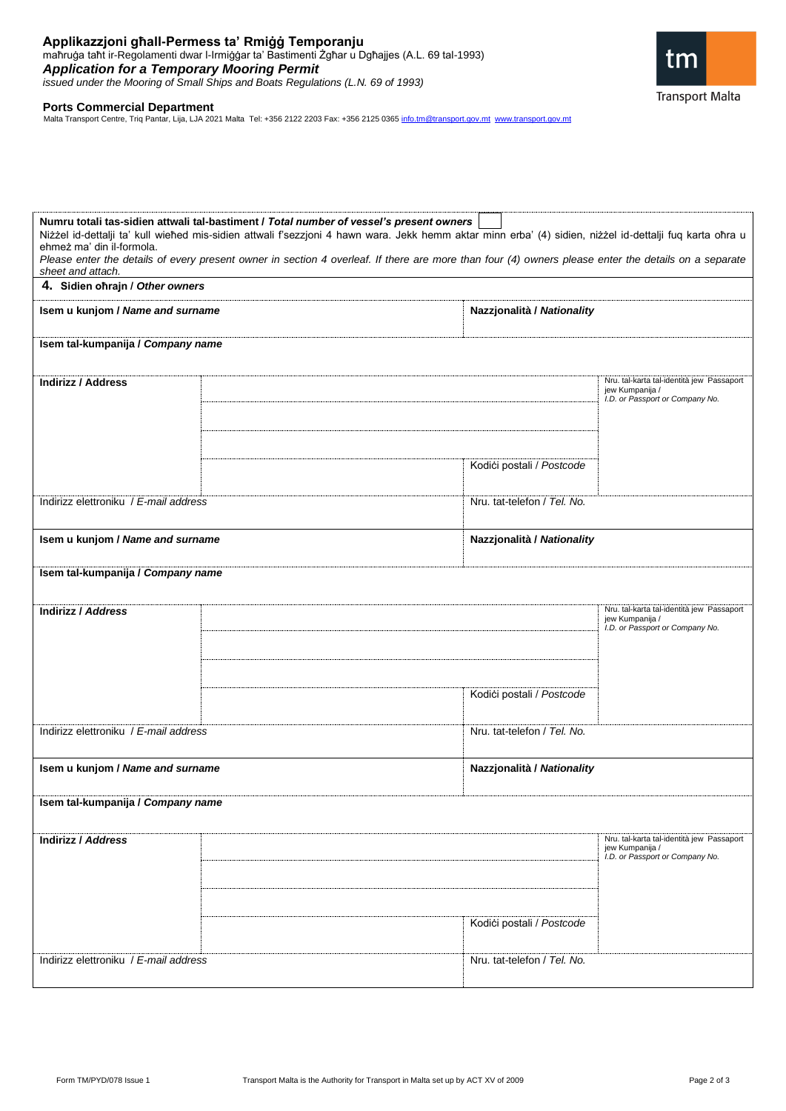

**Ports Commercial Department**<br>Malta Transport Centre, Triq Pantar, Lija, LJA 2021 Malta Tel: +356 2122 2203 Fax: +356 2125 0365 <u>info.tm@transport.gov.mt\_www.transport.gov.m</u>t

| ehmeż ma' din il-formola.                                      | Numru totali tas-sidien attwali tal-bastiment / Total number of vessel's present owners<br>Niżżel id-dettalji ta' kull wiehed mis-sidien attwali f'sezzjoni 4 hawn wara. Jekk hemm aktar minn erba' (4) sidien, niżżel id-dettalji fuq karta ohra u<br>Please enter the details of every present owner in section 4 overleaf. If there are more than four (4) owners please enter the details on a separate |                             |                                                                                                 |  |  |  |
|----------------------------------------------------------------|-------------------------------------------------------------------------------------------------------------------------------------------------------------------------------------------------------------------------------------------------------------------------------------------------------------------------------------------------------------------------------------------------------------|-----------------------------|-------------------------------------------------------------------------------------------------|--|--|--|
| sheet and attach.<br>4. Sidien ohrajn / Other owners           |                                                                                                                                                                                                                                                                                                                                                                                                             |                             |                                                                                                 |  |  |  |
| Isem u kunjom / Name and surname                               |                                                                                                                                                                                                                                                                                                                                                                                                             | Nazzjonalità / Nationality  |                                                                                                 |  |  |  |
| Isem tal-kumpanija / Company name                              |                                                                                                                                                                                                                                                                                                                                                                                                             |                             |                                                                                                 |  |  |  |
| <b>Indirizz / Address</b>                                      |                                                                                                                                                                                                                                                                                                                                                                                                             |                             | Nru. tal-karta tal-identità jew Passaport<br>jew Kumpanija /<br>I.D. or Passport or Company No. |  |  |  |
|                                                                |                                                                                                                                                                                                                                                                                                                                                                                                             | Kodići postali / Postcode   |                                                                                                 |  |  |  |
| Indirizz elettroniku / E-mail address                          |                                                                                                                                                                                                                                                                                                                                                                                                             | Nru. tat-telefon / Tel. No. |                                                                                                 |  |  |  |
| Isem u kunjom / Name and surname<br>Nazzjonalità / Nationality |                                                                                                                                                                                                                                                                                                                                                                                                             |                             |                                                                                                 |  |  |  |
| Isem tal-kumpanija / Company name                              |                                                                                                                                                                                                                                                                                                                                                                                                             |                             |                                                                                                 |  |  |  |
| <b>Indirizz / Address</b>                                      |                                                                                                                                                                                                                                                                                                                                                                                                             |                             | Nru. tal-karta tal-identità jew Passaport<br>jew Kumpanija /<br>I.D. or Passport or Company No. |  |  |  |
|                                                                |                                                                                                                                                                                                                                                                                                                                                                                                             | Kodići postali / Postcode   |                                                                                                 |  |  |  |
| Indirizz elettroniku / E-mail address                          |                                                                                                                                                                                                                                                                                                                                                                                                             | Nru. tat-telefon / Tel. No. |                                                                                                 |  |  |  |
| Isem u kunjom / Name and surname                               |                                                                                                                                                                                                                                                                                                                                                                                                             | Nazzjonalità / Nationality  |                                                                                                 |  |  |  |
| Isem tal-kumpanija / Company name                              |                                                                                                                                                                                                                                                                                                                                                                                                             |                             |                                                                                                 |  |  |  |
| <b>Indirizz / Address</b>                                      |                                                                                                                                                                                                                                                                                                                                                                                                             | Kodići postali / Postcode   | Nru. tal-karta tal-identità jew Passaport<br>jew Kumpanija /<br>I.D. or Passport or Company No. |  |  |  |
| Indirizz elettroniku / E-mail address                          |                                                                                                                                                                                                                                                                                                                                                                                                             | Nru. tat-telefon / Tel. No. |                                                                                                 |  |  |  |